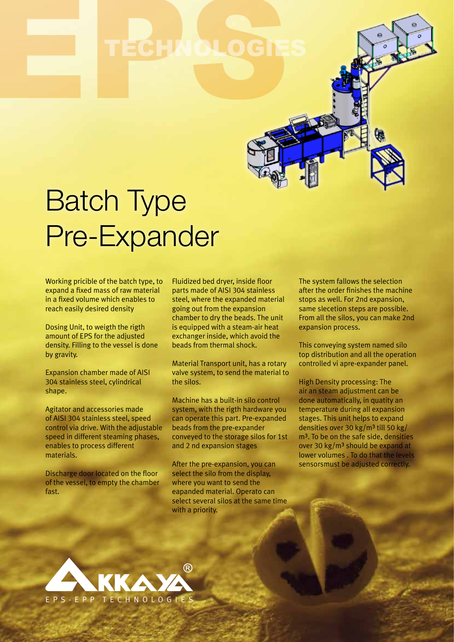# ECHNOLOGIES

# Batch Type Pre-Expander

Working pricible of the batch type, to expand a fixed mass of raw material in a fixed volume which enables to reach easily desired density

Dosing Unit, to weigth the rigth amount of EPS for the adjusted density. Filling to the vessel is done by gravity.

Expansion chamber made of AISI 304 stainless steel, cylindrical shape.

Agitator and accessories made of AISI 304 stainless steel, speed control via drive. With the adjustable speed in different steaming phases, enables to process different materials.

Discharge door located on the floor of the vessel, to empty the chamber fast.

Fluidized bed dryer, inside floor parts made of AISI 304 stainless steel, where the expanded material going out from the expansion chamber to dry the beads. The unit is equipped with a steam-air heat exchanger inside, which avoid the beads from thermal shock.

Material Transport unit, has a rotary valve system, to send the material to the silos.

Machine has a built-in silo control system, with the rigth hardware you can operate this part. Pre-expanded beads from the pre-expander conveyed to the storage silos for 1st and 2 nd expansion stages

After the pre-expansion, you can select the silo from the display, where you want to send the eapanded material. Operato can select several silos at the same time with a priority.

The system fallows the selection after the order finishes the machine stops as well. For 2nd expansion, same slecetion steps are possible. From all the silos, you can make 2nd expansion process.

This conveying system named silo top distribution and all the operation controlled vi apre-expander panel.

High Density processing: The air an steam adjustment can be done automatically, in quatity an temperature during all expansion stages. This unit helps to expand densities over 30 kg/m<sup>3</sup> till 50 kg/ m<sup>3</sup>. To be on the safe side, densities over 30 kg/m<sup>3</sup> should be expand at lower volumes . To do that the levels sensorsmust be adjusted correctly.